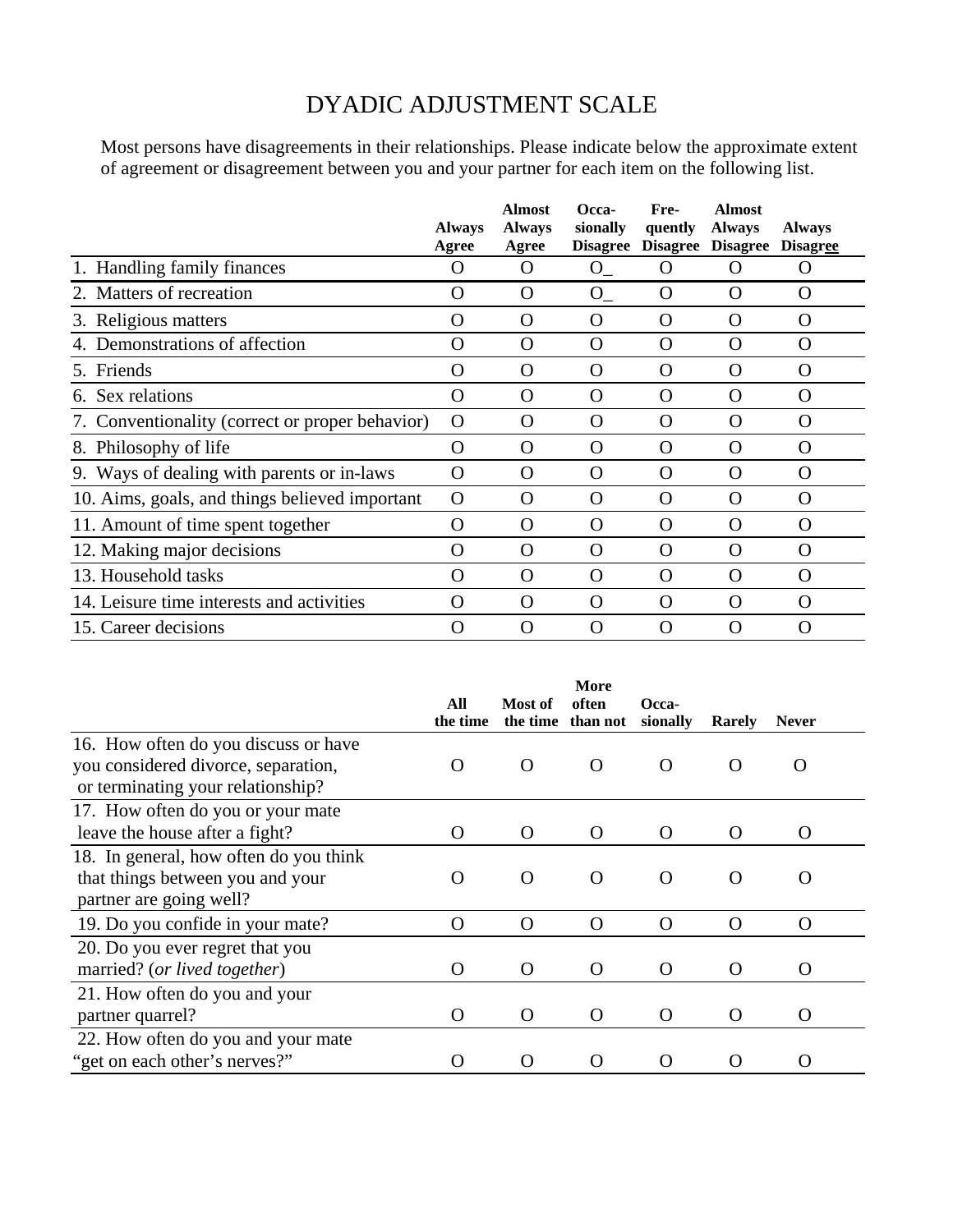## DYADIC ADJUSTMENT SCALE

Most persons have disagreements in their relationships. Please indicate below the approximate extent of agreement or disagreement between you and your partner for each item on the following list.

|                                                 | <b>Always</b><br>Agree | <b>Almost</b><br><b>Always</b><br>Agree | Occa-<br>sionally<br><b>Disagree</b> | Fre-<br>quently | <b>Almost</b><br><b>Always</b><br>Disagree Disagree | <b>Always</b><br><b>Disagree</b> |
|-------------------------------------------------|------------------------|-----------------------------------------|--------------------------------------|-----------------|-----------------------------------------------------|----------------------------------|
| 1. Handling family finances                     | $\Omega$               | $\lambda$                               | $O_{-}$                              | $\Omega$        | $\left($ )                                          | $\Omega$                         |
| 2. Matters of recreation                        | O                      | O                                       | $O_{-}$                              | $\Omega$        | $\Omega$                                            | O                                |
| 3. Religious matters                            | O                      | $\Omega$                                | $\Omega$                             | O               | O                                                   | O                                |
| 4. Demonstrations of affection                  | O                      | $\Omega$                                | $\Omega$                             | O               | $\Omega$                                            | $\Omega$                         |
| 5. Friends                                      | O                      | $\Omega$                                | O                                    | O               | $\Omega$                                            | $\Omega$                         |
| 6. Sex relations                                | $\mathbf O$            | O                                       | O                                    | $\mathbf O$     | $\Omega$                                            | $\Omega$                         |
| 7. Conventionality (correct or proper behavior) | O                      | $\Omega$                                | O                                    | O               | $\Omega$                                            | $\Omega$                         |
| 8. Philosophy of life                           | O                      | $\Omega$                                | O                                    | $\Omega$        | $\Omega$                                            | O                                |
| 9. Ways of dealing with parents or in-laws      | O                      | $\Omega$                                | $\Omega$                             | O               | $\Omega$                                            | $\Omega$                         |
| 10. Aims, goals, and things believed important  | $\Omega$               | $\Omega$                                | $\Omega$                             | O               | $\Omega$                                            | $\Omega$                         |
| 11. Amount of time spent together               | O                      | O                                       | O                                    | $\mathbf O$     | $\Omega$                                            | O                                |
| 12. Making major decisions                      | O                      | $\Omega$                                | O                                    | O               | $\Omega$                                            | $\Omega$                         |
| 13. Household tasks                             | O                      | $\Omega$                                | O                                    | $\Omega$        | $\Omega$                                            | $\Omega$                         |
| 14. Leisure time interests and activities       | $\Omega$               | $\Omega$                                | $\Omega$                             | O               | $\Omega$                                            | $\Omega$                         |
| 15. Career decisions                            | O                      | $\Omega$                                | O                                    | O               | $\Omega$                                            | $\left( \right)$                 |

|                                        | More               |                     |                   |                    |          |                  |
|----------------------------------------|--------------------|---------------------|-------------------|--------------------|----------|------------------|
|                                        | All<br>the time    | Most of<br>the time | often<br>than not | Occa-<br>sionally  | Rarely   | <b>Never</b>     |
| 16. How often do you discuss or have   |                    |                     |                   |                    |          |                  |
| you considered divorce, separation,    | $\left( \ \right)$ | $\Omega$            | $\Omega$          | $\Omega$           | O        | O                |
| or terminating your relationship?      |                    |                     |                   |                    |          |                  |
| 17. How often do you or your mate      |                    |                     |                   |                    |          |                  |
| leave the house after a fight?         | O                  | $\Omega$            | O                 | $\Omega$           | $\Omega$ | $\left( \right)$ |
| 18. In general, how often do you think |                    |                     |                   |                    |          |                  |
| that things between you and your       | O                  | $\Omega$            | O                 | $\Omega$           | $\Omega$ |                  |
| partner are going well?                |                    |                     |                   |                    |          |                  |
| 19. Do you confide in your mate?       | O                  | $\Omega$            | $\Omega$          | $\Omega$           | $\Omega$ | $\Omega$         |
| 20. Do you ever regret that you        |                    |                     |                   |                    |          |                  |
| married? (or lived together)           | O                  | $\Omega$            | $\Omega$          | $\Omega$           | $\Omega$ | O                |
| 21. How often do you and your          |                    |                     |                   |                    |          |                  |
| partner quarrel?                       | O                  | $\Omega$            | $\Omega$          | $\Omega$           | $\Omega$ | $\Omega$         |
| 22. How often do you and your mate     |                    |                     |                   |                    |          |                  |
| "get on each other's nerves?"          | ( )                |                     | 0                 | $\left( \ \right)$ | O        |                  |